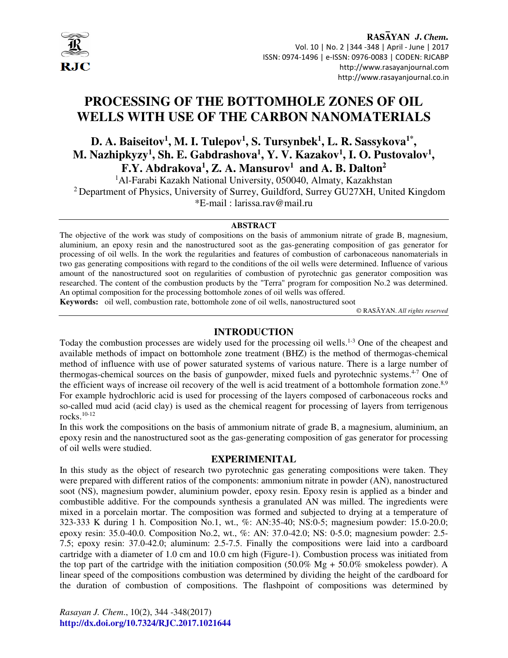

# **PROCESSING OF THE BOTTOMHOLE ZONES OF OIL WELLS WITH USE OF THE CARBON NANOMATERIALS**

**D. A. Baiseitov<sup>1</sup> , M. I. Tulepov<sup>1</sup> , S. Tursynbek<sup>1</sup> , L. R. Sassykova1\* , M. Nazhipkyzy<sup>1</sup> , Sh. E. Gabdrashova<sup>1</sup> , Y. V. Kazakov<sup>1</sup> , I. O. Pustovalov<sup>1</sup> , F.Y. Abdrakova<sup>1</sup> , Z. A. Mansurov<sup>1</sup> and A. B. Dalton<sup>2</sup>**

<sup>1</sup>Al-Farabi Kazakh National University, 050040, Almaty, Kazakhstan <sup>2</sup> Department of Physics, University of Surrey, Guildford, Surrey GU27XH, United Kingdom \*E-mail : larissa.rav@mail.ru

#### **ABSTRACT**

The objective of the work was study of compositions on the basis of ammonium nitrate of grade B, magnesium, aluminium, an epoxy resin and the nanostructured soot as the gas-generating composition of gas generator for processing of oil wells. In the work the regularities and features of combustion of carbonaceous nanomaterials in two gas generating compositions with regard to the conditions of the oil wells were determined. Influence of various amount of the nanostructured soot on regularities of combustion of pyrotechnic gas generator composition was researched. The content of the combustion products by the "Terra" program for composition No.2 was determined. An optimal composition for the processing bottomhole zones of oil wells was offered.

**Keywords:** oil well, combustion rate, bottomhole zone of oil wells, nanostructured soot

© RASĀYAN. *All rights reserved*

### **INTRODUCTION**

Today the combustion processes are widely used for the processing oil wells.1-3 One of the cheapest and available methods of impact on bottomhole zone treatment (BHZ) is the method of thermogas-chemical method of influence with use of power saturated systems of various nature. There is a large number of thermogas-chemical sources on the basis of gunpowder, mixed fuels and pyrotechnic systems.<sup>4-7</sup> One of the efficient ways of increase oil recovery of the well is acid treatment of a bottomhole formation zone.<sup>8,9</sup> For example hydrochloric acid is used for processing of the layers composed of carbonaceous rocks and so-called mud acid (acid clay) is used as the chemical reagent for processing of layers from terrigenous rocks.10-12

In this work the compositions on the basis of ammonium nitrate of grade B, a magnesium, aluminium, an epoxy resin and the nanostructured soot as the gas-generating composition of gas generator for processing of oil wells were studied.

### **EXPERIMENITAL**

In this study as the object of research two pyrotechnic gas generating compositions were taken. They were prepared with different ratios of the components: ammonium nitrate in powder (AN), nanostructured soot (NS), magnesium powder, aluminium powder, epoxy resin. Epoxy resin is applied as a binder and combustible additive. For the compounds synthesis a granulated AN was milled. The ingredients were mixed in a porcelain mortar. The composition was formed and subjected to drying at a temperature of 323-333 K during 1 h. Composition No.1, wt., %: AN:35-40; NS:0-5; magnesium powder: 15.0-20.0; epoxy resin: 35.0-40.0. Composition No.2, wt., %: AN: 37.0-42.0; NS: 0-5.0; magnesium powder: 2.5- 7.5; epoxy resin: 37.0-42.0; aluminum: 2.5-7.5. Finally the compositions were laid into a cardboard cartridge with a diameter of 1.0 cm and 10.0 cm high (Figure-1). Combustion process was initiated from the top part of the cartridge with the initiation composition  $(50.0\% \text{ Mg} + 50.0\% \text{ smokers})$  smokeless powder). A linear speed of the compositions combustion was determined by dividing the height of the cardboard for the duration of combustion of compositions. The flashpoint of compositions was determined by

*Rasayan J. Chem*., 10(2), 344 -348(2017) **http://dx.doi.org/10.7324/RJC.2017.1021644**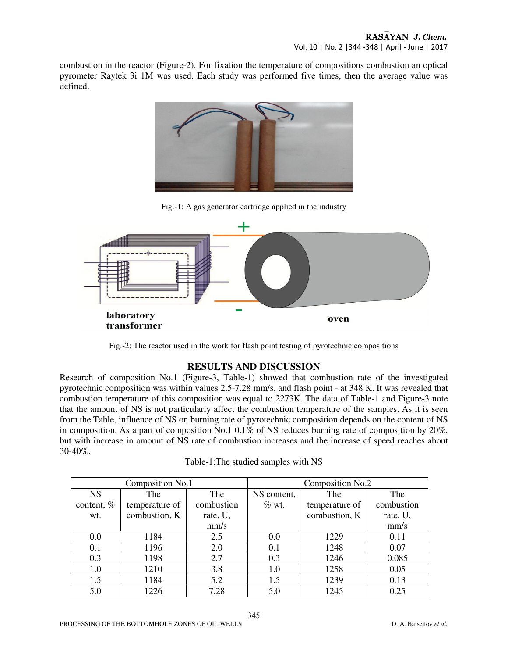combustion in the reactor (Figure-2). For fixation the temperature of compositions combustion an optical pyrometer Raytek 3i 1M was used. Each study was performed five times, then the average value was defined.



Fig.-1: A gas generator cartridge applied in the industry



Fig.-2: The reactor used in the work for flash point testing of pyrotechnic compositions

# **RESULTS AND DISCUSSION**

Research of composition No.1 (Figure-3, Table-1) showed that combustion rate of the investigated pyrotechnic composition was within values 2.5-7.28 mm/s. and flash point - at 348 K. It was revealed that combustion temperature of this composition was equal to 2273K. The data of Table-1 and Figure-3 note that the amount of NS is not particularly affect the combustion temperature of the samples. As it is seen from the Table, influence of NS on burning rate of pyrotechnic composition depends on the content of NS in composition. As a part of composition No.1 0.1% of NS reduces burning rate of composition by  $20\%$ , but with increase in amount of NS rate of combustion increases and the increase of speed reaches about 30-40%.

| Composition No.1 |                |            | Composition No.2 |                |            |
|------------------|----------------|------------|------------------|----------------|------------|
| <b>NS</b>        | The            | <b>The</b> | NS content,      | The            | The        |
| content, %       | temperature of | combustion | $\%$ wt.         | temperature of | combustion |
| wt.              | combustion, K  | rate, U,   |                  | combustion, K  | rate, U,   |
|                  |                | mm/s       |                  |                | mm/s       |
| 0.0              | 1184           | 2.5        | 0.0              | 1229           | 0.11       |
| 0.1              | 1196           | 2.0        | 0.1              | 1248           | 0.07       |
| 0.3              | 1198           | 2.7        | 0.3              | 1246           | 0.085      |
| 1.0              | 1210           | 3.8        | 1.0              | 1258           | 0.05       |
| 1.5              | 1184           | 5.2        | 1.5              | 1239           | 0.13       |
| 5.0              | 1226           | 7.28       | 5.0              | 1245           | 0.25       |

| Table-1: The studied samples with NS |  |  |  |
|--------------------------------------|--|--|--|
|--------------------------------------|--|--|--|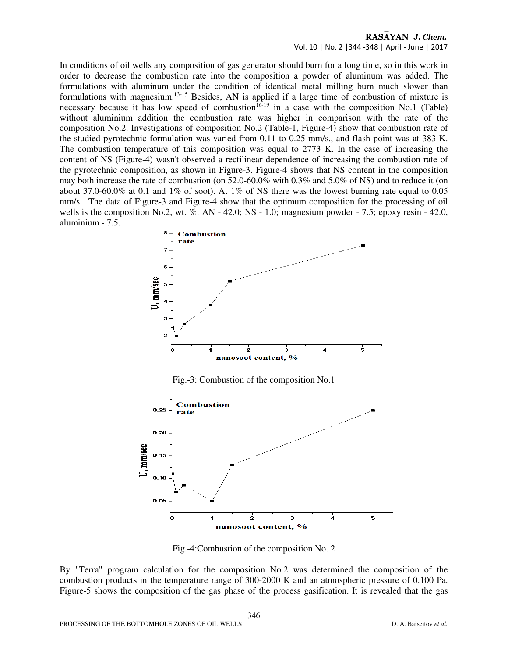### RASAYAN J. Chem. Vol. 10 | No. 2 |344 -348 | April - June | 2017

In conditions of oil wells any composition of gas generator should burn for a long time, so in this work in order to decrease the combustion rate into the composition a powder of aluminum was added. The formulations with aluminum under the condition of identical metal milling burn much slower than formulations with magnesium.13-15 Besides, AN is applied if a large time of combustion of mixture is necessary because it has low speed of combustion<sup>16-19</sup> in a case with the composition No.1 (Table) without aluminium addition the combustion rate was higher in comparison with the rate of the composition No.2. Investigations of composition No.2 (Table-1, Figure-4) show that combustion rate of the studied pyrotechnic formulation was varied from 0.11 to 0.25 mm/s., and flash point was at 383 K. The combustion temperature of this composition was equal to 2773 K. In the case of increasing the content of NS (Figure-4) wasn't observed a rectilinear dependence of increasing the combustion rate of the pyrotechnic composition, as shown in Figure-3. Figure-4 shows that NS content in the composition may both increase the rate of combustion (on 52.0-60.0% with 0.3% and 5.0% of NS) and to reduce it (on about 37.0-60.0% at 0.1 and 1% of soot). At 1% of NS there was the lowest burning rate equal to 0.05 mm/s. The data of Figure-3 and Figure-4 show that the optimum composition for the processing of oil wells is the composition No.2, wt.  $\%$ : AN - 42.0; NS - 1.0; magnesium powder - 7.5; epoxy resin - 42.0, aluminium - 7.5.



Fig.-4:Combustion of the composition No. 2

By "Terra" program calculation for the composition No.2 was determined the composition of the combustion products in the temperature range of 300-2000 K and an atmospheric pressure of 0.100 Pa. Figure-5 shows the composition of the gas phase of the process gasification. It is revealed that the gas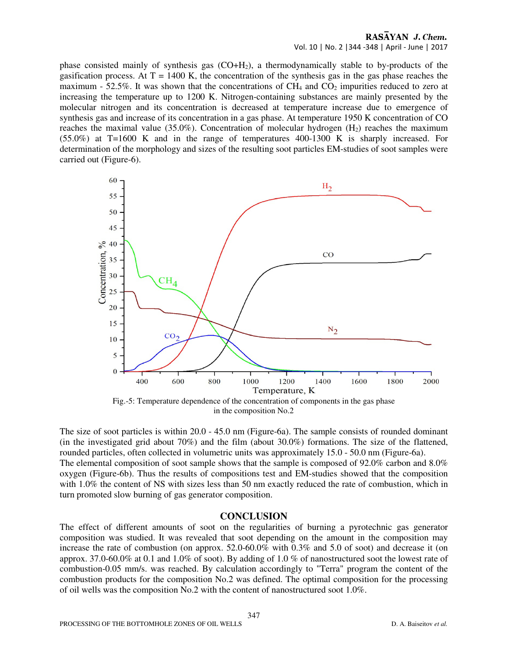### RASAYAN J. Chem. Vol. 10 | No. 2 |344 -348 | April - June | 2017

phase consisted mainly of synthesis gas  $(CO+H<sub>2</sub>)$ , a thermodynamically stable to by-products of the gasification process. At  $T = 1400$  K, the concentration of the synthesis gas in the gas phase reaches the maximum - 52.5%. It was shown that the concentrations of  $CH_4$  and  $CO_2$  impurities reduced to zero at increasing the temperature up to 1200 K. Nitrogen-containing substances are mainly presented by the molecular nitrogen and its concentration is decreased at temperature increase due to emergence of synthesis gas and increase of its concentration in a gas phase. At temperature 1950 K concentration of CO reaches the maximal value (35.0%). Concentration of molecular hydrogen  $(H<sub>2</sub>)$  reaches the maximum (55.0%) at T=1600 K and in the range of temperatures 400-1300 K is sharply increased. For determination of the morphology and sizes of the resulting soot particles EM-studies of soot samples were carried out (Figure-6).



in the composition No.2

The size of soot particles is within 20.0 - 45.0 nm (Figure-6a). The sample consists of rounded dominant (in the investigated grid about 70%) and the film (about 30.0%) formations. The size of the flattened, rounded particles, often collected in volumetric units was approximately 15.0 - 50.0 nm (Figure-6a). The elemental composition of soot sample shows that the sample is composed of 92.0% carbon and 8.0% oxygen (Figure-6b). Thus the results of compositions test and EM-studies showed that the composition with 1.0% the content of NS with sizes less than 50 nm exactly reduced the rate of combustion, which in turn promoted slow burning of gas generator composition.

### **CONCLUSION**

The effect of different amounts of soot on the regularities of burning a pyrotechnic gas generator composition was studied. It was revealed that soot depending on the amount in the composition may increase the rate of combustion (on approx. 52.0-60.0% with 0.3% and 5.0 of soot) and decrease it (on approx. 37.0-60.0% at 0.1 and 1.0% of soot). By adding of 1.0 % of nanostructured soot the lowest rate of combustion-0.05 mm/s. was reached. By calculation accordingly to "Terra" program the content of the combustion products for the composition No.2 was defined. The optimal composition for the processing of oil wells was the composition No.2 with the content of nanostructured soot 1.0%.